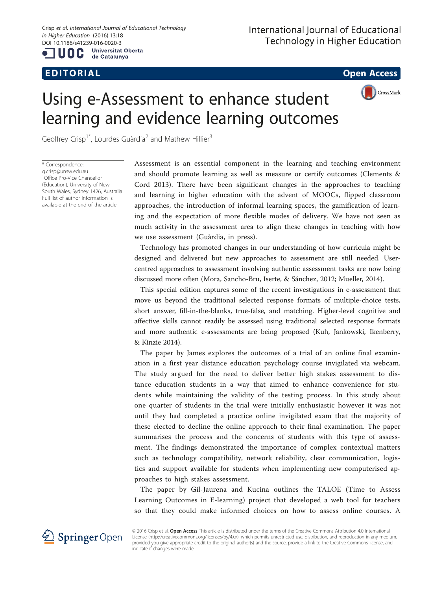Crisp et al. International Journal of Educational Technology in Higher Education (2016) 13:18 DOI 10.1186/s41239-016-0020-3**Universitat Oberta** 

## EDI TORIA L Open Access



# Using e-Assessment to enhance student learning and evidence learning outcomes

Geoffrey Crisp<sup>1\*</sup>, Lourdes Guàrdia<sup>2</sup> and Mathew Hillier<sup>3</sup>

\* Correspondence: [g.crisp@unsw.edu.au](mailto:g.crisp@unsw.edu.au) <sup>1</sup>Office Pro-Vice Chancellor (Education), University of New South Wales, Sydney 1426, Australia Full list of author information is available at the end of the article

Assessment is an essential component in the learning and teaching environment and should promote learning as well as measure or certify outcomes (Clements & Cord [2013](#page-2-0)). There have been significant changes in the approaches to teaching and learning in higher education with the advent of MOOCs, flipped classroom approaches, the introduction of informal learning spaces, the gamification of learning and the expectation of more flexible modes of delivery. We have not seen as much activity in the assessment area to align these changes in teaching with how we use assessment (Guàrdia, [in press](#page-2-0)).

Technology has promoted changes in our understanding of how curricula might be designed and delivered but new approaches to assessment are still needed. Usercentred approaches to assessment involving authentic assessment tasks are now being discussed more often (Mora, Sancho-Bru, Iserte, & Sánchez, [2012](#page-2-0); Mueller, [2014](#page-2-0)).

This special edition captures some of the recent investigations in e-assessment that move us beyond the traditional selected response formats of multiple-choice tests, short answer, fill-in-the-blanks, true-false, and matching. Higher-level cognitive and affective skills cannot readily be assessed using traditional selected response formats and more authentic e-assessments are being proposed (Kuh, Jankowski, Ikenberry, & Kinzie [2014](#page-2-0)).

The paper by James explores the outcomes of a trial of an online final examination in a first year distance education psychology course invigilated via webcam. The study argued for the need to deliver better high stakes assessment to distance education students in a way that aimed to enhance convenience for students while maintaining the validity of the testing process. In this study about one quarter of students in the trial were initially enthusiastic however it was not until they had completed a practice online invigilated exam that the majority of these elected to decline the online approach to their final examination. The paper summarises the process and the concerns of students with this type of assessment. The findings demonstrated the importance of complex contextual matters such as technology compatibility, network reliability, clear communication, logistics and support available for students when implementing new computerised approaches to high stakes assessment.

The paper by Gil-Jaurena and Kucina outlines the TALOE (Time to Assess Learning Outcomes in E-learning) project that developed a web tool for teachers so that they could make informed choices on how to assess online courses. A



© 2016 Crisp et al. Open Access This article is distributed under the terms of the Creative Commons Attribution 4.0 International License [\(http://creativecommons.org/licenses/by/4.0/](http://creativecommons.org/licenses/by/4.0/)), which permits unrestricted use, distribution, and reproduction in any medium, provided you give appropriate credit to the original author(s) and the source, provide a link to the Creative Commons license, and indicate if changes were made.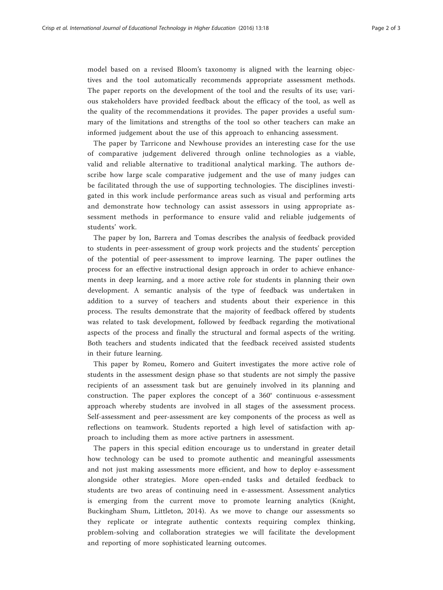model based on a revised Bloom's taxonomy is aligned with the learning objectives and the tool automatically recommends appropriate assessment methods. The paper reports on the development of the tool and the results of its use; various stakeholders have provided feedback about the efficacy of the tool, as well as the quality of the recommendations it provides. The paper provides a useful summary of the limitations and strengths of the tool so other teachers can make an informed judgement about the use of this approach to enhancing assessment.

The paper by Tarricone and Newhouse provides an interesting case for the use of comparative judgement delivered through online technologies as a viable, valid and reliable alternative to traditional analytical marking. The authors describe how large scale comparative judgement and the use of many judges can be facilitated through the use of supporting technologies. The disciplines investigated in this work include performance areas such as visual and performing arts and demonstrate how technology can assist assessors in using appropriate assessment methods in performance to ensure valid and reliable judgements of students' work.

The paper by Ion, Barrera and Tomas describes the analysis of feedback provided to students in peer-assessment of group work projects and the students' perception of the potential of peer-assessment to improve learning. The paper outlines the process for an effective instructional design approach in order to achieve enhancements in deep learning, and a more active role for students in planning their own development. A semantic analysis of the type of feedback was undertaken in addition to a survey of teachers and students about their experience in this process. The results demonstrate that the majority of feedback offered by students was related to task development, followed by feedback regarding the motivational aspects of the process and finally the structural and formal aspects of the writing. Both teachers and students indicated that the feedback received assisted students in their future learning.

This paper by Romeu, Romero and Guitert investigates the more active role of students in the assessment design phase so that students are not simply the passive recipients of an assessment task but are genuinely involved in its planning and construction. The paper explores the concept of a 360° continuous e-assessment approach whereby students are involved in all stages of the assessment process. Self-assessment and peer-assessment are key components of the process as well as reflections on teamwork. Students reported a high level of satisfaction with approach to including them as more active partners in assessment.

The papers in this special edition encourage us to understand in greater detail how technology can be used to promote authentic and meaningful assessments and not just making assessments more efficient, and how to deploy e-assessment alongside other strategies. More open-ended tasks and detailed feedback to students are two areas of continuing need in e-assessment. Assessment analytics is emerging from the current move to promote learning analytics (Knight, Buckingham Shum, Littleton, [2014\)](#page-2-0). As we move to change our assessments so they replicate or integrate authentic contexts requiring complex thinking, problem-solving and collaboration strategies we will facilitate the development and reporting of more sophisticated learning outcomes.